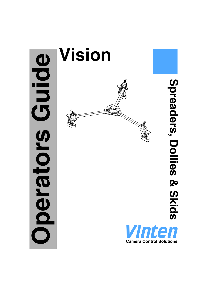

# Spreaders, Dollies & Skids **Spreaders, Dollies & Skids**

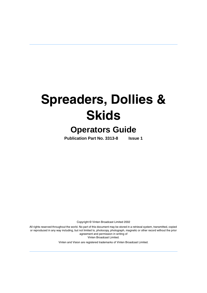# **Spreaders, Dollies & Skids**

# **Operators Guide**

**Publication Part No. 3313-8 Issue 1**

Copyright © Vinten Broadcast Limited 2002

All rights reserved throughout the world. No part of this document may be stored in a retrieval system, transmitted, copied or reproduced in any way including, but not limited to, photocopy, photograph, magnetic or other record without the prior agreement and permission in writing of Vinten Broadcast Limited.

Vinten and Vision are registered trademarks of Vinten Broadcast Limited.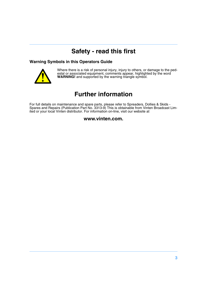# **Safety - read this first**

#### <span id="page-2-0"></span>**Warning Symbols in this Operators Guide**



Where there is a risk of personal injury, injury to others, or damage to the pedestal or associated equipment, comments appear, highlighted by the word **WARNING!** and supported by the warning triangle symbol.

# **Further information**

<span id="page-2-1"></span>For full details on maintenance and spare parts, please refer to Spreaders, Dollies & Skids - Spares and Repairs (Publication Part No. 3313-9) This is obtainable from Vinten Broadcast Limited or your local Vinten distributor. For information on-line, visit our website at

#### **www.vinten.com.**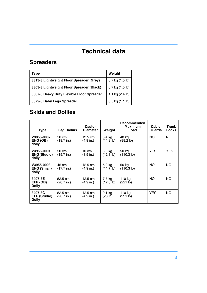# **Technical data**

# <span id="page-3-0"></span>**Spreaders**

| Type                                      | Weight                    |
|-------------------------------------------|---------------------------|
| 3313-3 Lightweight Floor Spreader (Grey)  | $0.7$ kg $(1.5$ lb)       |
| 3363-3 Lightweight Floor Spreader (Black) | $0.7$ kg $(1.5$ lb)       |
| 3367-3 Heavy Duty Flexible Floor Spreader | 1.1 kg $(2.4 \text{ lb})$ |
| 3379-3 Baby Legs Spreader                 | $0.5$ kg $(1.1$ lb)       |

# **Skids and Dollies**

| <b>Type</b>                                    | Leg Radius                      | Castor<br><b>Diameter</b>              | Weight                   | Recommended<br><b>Maximum</b><br>Load | Cable<br><b>Guards</b> | <b>Track</b><br>Locks |
|------------------------------------------------|---------------------------------|----------------------------------------|--------------------------|---------------------------------------|------------------------|-----------------------|
| V3955-0002<br>ENG (OB)<br>dolly                | 50 cm<br>(19.7 in.)             | $12.5 \text{ cm}$<br>(4.9 in.)         | 5.4 kg<br>(11.9 lb)      | 40 kg<br>$(88.2 \text{ lb})$          | NO.                    | NO.                   |
| V3955-0001<br><b>ENG(Studio)</b><br>dolly      | 50 cm<br>$(19.7 \text{ in.})$   | $10 \text{ cm}$<br>$(3.9 \text{ in.})$ | 5.8 kg<br>$(12.8$ lb)    | 50 kg<br>(110.3 lb)                   | YES.                   | <b>YES</b>            |
| V3955-0003<br><b>ENG (Small)</b><br>dolly      | 45 cm<br>(17.7 in.)             | $12.5 \text{ cm}$<br>(4.9 in.)         | 5.3 kg<br>$(11.7$ lb)    | 50 kg<br>$(110.3 \text{ lb})$         | NO.                    | NO.                   |
| 3497-3E<br>EFP (OB)<br>Dolly                   | 52.5 cm<br>$(20.7 \text{ in.})$ | $12.5 \text{ cm}$<br>(4.9 in.)         | 7.7 ka<br>$(17.0 \, lb)$ | 110 kg<br>(221 lb)                    | NO.                    | NO.                   |
| 3497-3G<br><b>EFP (Studio)</b><br><b>Dolly</b> | 52.5 cm<br>(20.7 in.)           | 12.5 cm<br>(4.9 in.)                   | 9.1 kg<br>(20 lb)        | 110 kg<br>(221 lb)                    | <b>YES</b>             | NO.                   |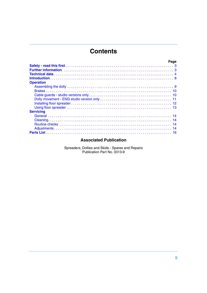# **Contents**

| Page             |  |
|------------------|--|
|                  |  |
|                  |  |
|                  |  |
|                  |  |
| <b>Operation</b> |  |
|                  |  |
|                  |  |
|                  |  |
|                  |  |
|                  |  |
|                  |  |
| <b>Servicing</b> |  |
|                  |  |
|                  |  |
|                  |  |
|                  |  |
|                  |  |

#### **Associated Publication**

Spreaders, Dollies and Skids - Spares and Repairs Publication Part No. 3313-9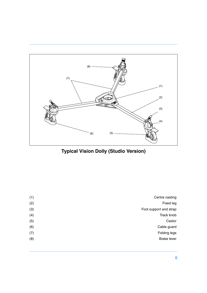<span id="page-5-2"></span><span id="page-5-1"></span>

**Typical Vision Dolly (Studio Version)**

<span id="page-5-0"></span>

| (1) | Centre casting         |
|-----|------------------------|
| (2) | Fixed leg              |
| (3) | Foot support and strap |
| (4) | Track knob             |
| (5) | Castor                 |
| (6) | Cable guard            |
| (7) | Folding legs           |
| (8) | <b>Brake lever</b>     |
|     |                        |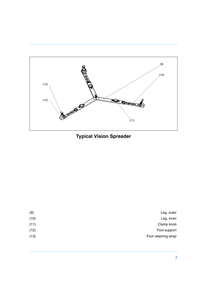

<span id="page-6-2"></span><span id="page-6-1"></span><span id="page-6-0"></span>**Typical Vision Spreader**

| (9)  | Leg, outer           |
|------|----------------------|
| (10) | Leg, inner           |
| (11) | Clamp knob           |
| (12) | Foot support         |
| (13) | Foot retaining strap |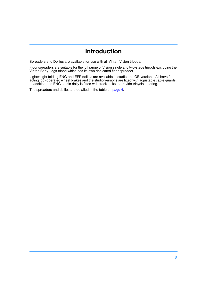# **Introduction**

<span id="page-7-0"></span>Spreaders and Dollies are available for use with all Vinten Vision tripods.

Floor spreaders are suitable for the full range of Vision single and two-stage tripods excluding the Vinten Baby-Legs tripod which has its own dedicated floor spreader.

Lightweight folding ENG and EFP dollies are available in studio and OB versions. All have fast acting foot-operated wheel brakes and the studio versions are fitted with adjustable cable guards. In addition, the ENG studio dolly is fitted with track locks to provide tricycle steering.

The spreaders and dollies are detailed in the table on [page 4.](#page-3-0)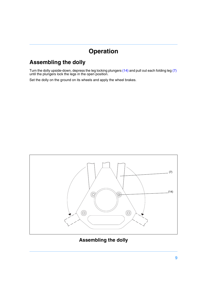# **Operation**

# <span id="page-8-1"></span><span id="page-8-0"></span>**Assembling the dolly**

Turn the dolly upside-down, depress the leg locking plungers [\(14\)](#page-8-2) and pull out each folding leg [\(7\)](#page-8-3) until the plungers lock the legs in the open position.

Set the dolly on the ground on its wheels and apply the wheel brakes.



<span id="page-8-3"></span><span id="page-8-2"></span>**Assembling the dolly**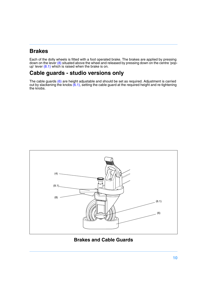# <span id="page-9-0"></span>**Brakes**

Each of the dolly wheels is fitted with a foot operated brake. The brakes are applied by pressing down on the lever [\(8\)](#page-9-2) situated above the wheel and released by pressing down on the centre 'popup' lever [\(8.1\)](#page-9-3) which is raised when the brake is on.

# <span id="page-9-1"></span>**Cable guards - studio versions only**

The cable guards [\(6\)](#page-9-4) are height adjustable and should be set as required. Adjustment is carried out by slackening the knobs  $(6.1)$ , setting the cable guard at the required height and re-tightening the knobs.

<span id="page-9-5"></span><span id="page-9-4"></span><span id="page-9-3"></span><span id="page-9-2"></span>

**Brakes and Cable Guards**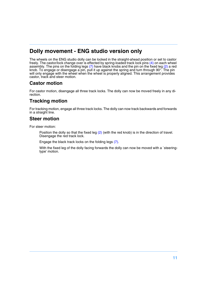# <span id="page-10-0"></span>**Dolly movement - ENG studio version only**

The wheels on the ENG studio dolly can be locked in the straight-ahead position or set to castor freely. The castor/lock change over is effected by spring-loaded track lock pins [\(4\)](#page-5-0) on each wheel assembly. The pins on the folding legs  $(7)$  have black knobs and the pin on the fixed leg  $(2)$  a red knob. To engage or disengage a pin, pull it up against the spring and turn through 90°. The pin will only engage with the wheel when the wheel is properly aligned. This arrangement provides castor, track and steer motion.

#### **Castor motion**

For castor motion, disengage all three track locks. The dolly can now be moved freely in any direction.

#### **Tracking motion**

For tracking motion, engage all three track locks. The dolly can now track backwards and forwards in a straight line.

#### **Steer motion**

For steer motion:

Position the dolly so that the fixed leg [\(2\)](#page-5-2) (with the red knob) is in the direction of travel. Disengage the red track lock.

Engage the black track locks on the folding legs [\(7\)](#page-5-1).

With the fixed leg of the dolly facing forwards the dolly can now be moved with a `steeringtype' motion.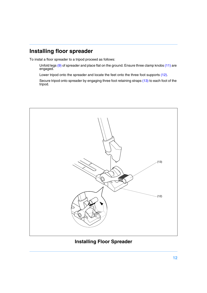# <span id="page-11-0"></span>**Installing floor spreader**

To instal a floor spreader to a tripod proceed as follows:

Unfold legs [\(9\)](#page-6-0) of spreader and place flat on the ground. Ensure three clamp knobs [\(11\)](#page-6-1) are engaged.

Lower tripod onto the spreader and locate the feet onto the three foot supports [\(12\).](#page-11-1)

Secure tripod onto spreader by engaging three foot retaining straps [\(13\)](#page-11-2) to each foot of the tripod.

<span id="page-11-2"></span><span id="page-11-1"></span>

**Installing Floor Spreader**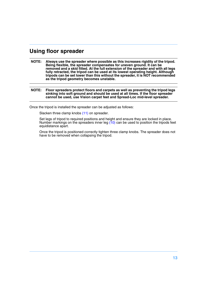#### <span id="page-12-0"></span>**Using floor spreader**

- **NOTE: Always use the spreader where possible as this increases rigidity of the tripod. Being flexible, the spreader compensates for uneven ground. It can be removed and a skid fitted. At the full extension of the spreader and with all legs fully retracted, the tripod can be used at its lowest operating height. Although tripods can be set lower than this without the spreader, it is NOT recommended as the tripod geometry becomes unstable.**
- **NOTE: Floor spreaders protect floors and carpets as well as preventing the tripod legs sinking into soft ground and should be used at all times. If the floor spreader cannot be used, use Vision carpet feet and Spread-Loc mid-level spreader.**

Once the tripod is installed the spreader can be adjusted as follows:

Slacken three clamp knobs [\(11\)](#page-6-1) on spreader.

Set legs of tripod to required positions and height and ensure they are locked in place. Number markings on the spreaders inner leg  $(10)$  can be used to position the tripods feet equidistance apart.

Once the tripod is positioned correctly tighten three clamp knobs. The spreader does not have to be removed when collapsing the tripod.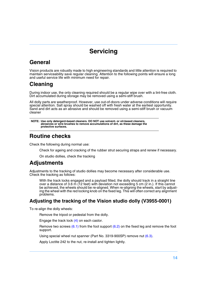# **Servicing**

# <span id="page-13-1"></span><span id="page-13-0"></span>**General**

Vision products are robustly made to high engineering standards and little attention is required to maintain serviceability save regular cleaning. Attention to the following points will ensure a long and useful service life with minimum need for repair.

# <span id="page-13-2"></span>**Cleaning**

During indoor use, the only cleaning required should be a regular wipe over with a lint-free cloth. Dirt accumulated during storage may be removed using a semi-stiff brush.

All dolly parts are weatherproof. However, use out-of-doors under adverse conditions will require special attention. Salt spray should be washed off with fresh water at the earliest opportunity. Sand and dirt acts as an abrasive and should be removed using a semi-stiff brush or vacuum cleaner

```
NOTE: Use only detergent-based cleaners. DO NOT use solvent- or oil-based cleaners, 
abrasives or wire brushes to remove accumulations of dirt, as these damage the 
protective surfaces.
```
# <span id="page-13-3"></span>**Routine checks**

Check the following during normal use:

Check for ageing and cracking of the rubber strut securing straps and renew if necessary.

On studio dollies, check the tracking

# <span id="page-13-4"></span>**Adjustments**

Adjustments to the tracking of studio dollies may become necessary after considerable use. Check the tracking as follows:

With the track locks engaged and a payload fitted, the dolly should track in a straight line over a distance of 3.6 m (12 feet) with deviation not exceeding 5 cm (2 in.). If this cannot be achieved, the wheels should be re-aligned. When re-aligning the wheels, start by adjusting the wheel with the red locking knob on the fixed leg. This will often correct any alignment problems.

#### **Adjusting the tracking of the Vision studio dolly (V3955-0001)**

To re-align the dolly wheels:

Remove the tripod or pedestal from the dolly.

Engage the track lock [\(4\)](#page-14-0) on each castor.

Remove two screws  $(6.1)$  from the foot support  $(6.2)$  on the fixed leg and remove the foot support.

Using special wheel nut spanner (Part No. 3319-900SP) remove nut [\(6.3\).](#page-14-3)

Apply Loctite 242 to the nut, re-install and tighten lightly.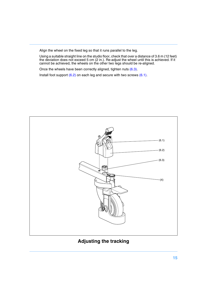Align the wheel on the fixed leg so that it runs parallel to the leg.

Using a suitable straight line on the studio floor, check that over a distance of 3.6 m (12 feet) the deviation does not exceed 5 cm (2 in.). Re-adjust the wheel until this is achieved. If it cannot be achieved, the wheels on the other two legs should be re-aligned.

Once the wheels have been correctly aligned, tighten nuts [\(6.3\)](#page-14-3).

Install foot support [\(6.2\)](#page-14-2) on each leg and secure with two screws [\(6.1\)](#page-14-1).



#### <span id="page-14-3"></span><span id="page-14-2"></span><span id="page-14-1"></span><span id="page-14-0"></span>**Adjusting the tracking**